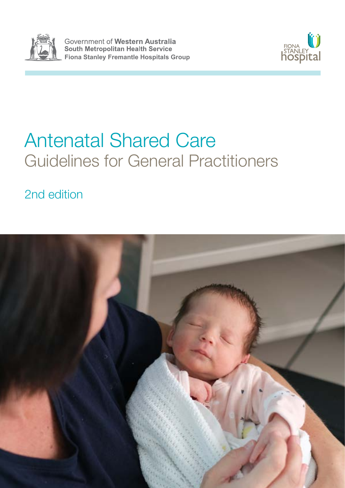

Government of Western Australia South Metropolitan Health Service **Fiona Stanley Fremantle Hospitals Group**



# Antenatal Shared Care Guidelines for General Practitioners

2nd edition

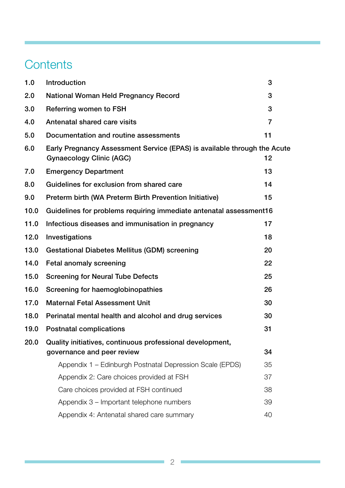# **Contents**

| 1.0  | Introduction                                                                                                | 3              |  |  |  |
|------|-------------------------------------------------------------------------------------------------------------|----------------|--|--|--|
| 2.0  | <b>National Woman Held Pregnancy Record</b>                                                                 |                |  |  |  |
| 3.0  | Referring women to FSH                                                                                      |                |  |  |  |
| 4.0  | Antenatal shared care visits                                                                                | $\overline{7}$ |  |  |  |
| 5.0  | Documentation and routine assessments                                                                       | 11             |  |  |  |
| 6.0  | Early Pregnancy Assessment Service (EPAS) is available through the Acute<br><b>Gynaecology Clinic (AGC)</b> | 12             |  |  |  |
| 7.0  | <b>Emergency Department</b>                                                                                 | 13             |  |  |  |
| 8.0  | Guidelines for exclusion from shared care                                                                   | 14             |  |  |  |
| 9.0  | Preterm birth (WA Preterm Birth Prevention Initiative)                                                      | 15             |  |  |  |
| 10.0 | Guidelines for problems requiring immediate antenatal assessment16                                          |                |  |  |  |
| 11.0 | Infectious diseases and immunisation in pregnancy                                                           | 17             |  |  |  |
| 12.0 | Investigations                                                                                              | 18             |  |  |  |
| 13.0 | <b>Gestational Diabetes Mellitus (GDM) screening</b><br>20                                                  |                |  |  |  |
| 14.0 | 22<br>Fetal anomaly screening                                                                               |                |  |  |  |
| 15.0 | <b>Screening for Neural Tube Defects</b>                                                                    | 25             |  |  |  |
| 16.0 | Screening for haemoglobinopathies                                                                           | 26             |  |  |  |
| 17.0 | <b>Maternal Fetal Assessment Unit</b>                                                                       | 30             |  |  |  |
| 18.0 | Perinatal mental health and alcohol and drug services                                                       | 30             |  |  |  |
| 19.0 | <b>Postnatal complications</b>                                                                              | 31             |  |  |  |
| 20.0 | Quality initiatives, continuous professional development,                                                   |                |  |  |  |
|      | governance and peer review                                                                                  | 34             |  |  |  |
|      | Appendix 1 – Edinburgh Postnatal Depression Scale (EPDS)                                                    | 35             |  |  |  |
|      | Appendix 2: Care choices provided at FSH                                                                    | 37             |  |  |  |
|      | Care choices provided at FSH continued                                                                      | 38             |  |  |  |
|      | Appendix 3 – Important telephone numbers                                                                    | 39             |  |  |  |
|      | Appendix 4: Antenatal shared care summary                                                                   | 40             |  |  |  |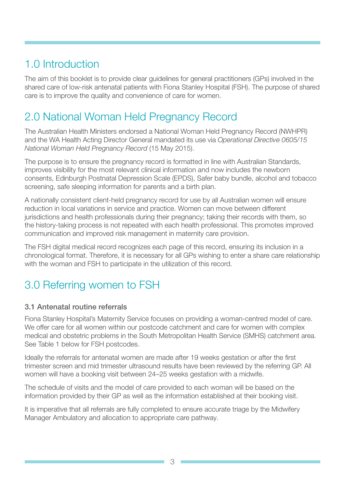# <span id="page-2-0"></span>1.0 Introduction

The aim of this booklet is to provide clear guidelines for general practitioners (GPs) involved in the shared care of low-risk antenatal patients with Fiona Stanley Hospital (FSH). The purpose of shared care is to improve the quality and convenience of care for women.

# 2.0 National Woman Held Pregnancy Record

The Australian Health Ministers endorsed a National Woman Held Pregnancy Record (NWHPR) and the WA Health Acting Director General mandated its use via *Operational Directive 0605/15 National Woman Held Pregnancy Record* (15 May 2015).

The purpose is to ensure the pregnancy record is formatted in line with Australian Standards, improves visibility for the most relevant clinical information and now includes the newborn consents, Edinburgh Postnatal Depression Scale (EPDS), Safer baby bundle, alcohol and tobacco screening, safe sleeping information for parents and a birth plan.

A nationally consistent client-held pregnancy record for use by all Australian women will ensure reduction in local variations in service and practice. Women can move between different jurisdictions and health professionals during their pregnancy; taking their records with them, so the history-taking process is not repeated with each health professional. This promotes improved communication and improved risk management in maternity care provision.

The FSH digital medical record recognizes each page of this record, ensuring its inclusion in a chronological format. Therefore, it is necessary for all GPs wishing to enter a share care relationship with the woman and FSH to participate in the utilization of this record.

# 3.0 Referring women to FSH

# 3.1 Antenatal routine referrals

Fiona Stanley Hospital's Maternity Service focuses on providing a woman-centred model of care. We offer care for all women within our postcode catchment and care for women with complex medical and obstetric problems in the South Metropolitan Health Service (SMHS) catchment area. See Table 1 below for FSH postcodes.

Ideally the referrals for antenatal women are made after 19 weeks gestation or after the first trimester screen and mid trimester ultrasound results have been reviewed by the referring GP. All women will have a booking visit between 24–25 weeks gestation with a midwife.

The schedule of visits and the model of care provided to each woman will be based on the information provided by their GP as well as the information established at their booking visit.

It is imperative that all referrals are fully completed to ensure accurate triage by the Midwifery Manager Ambulatory and allocation to appropriate care pathway.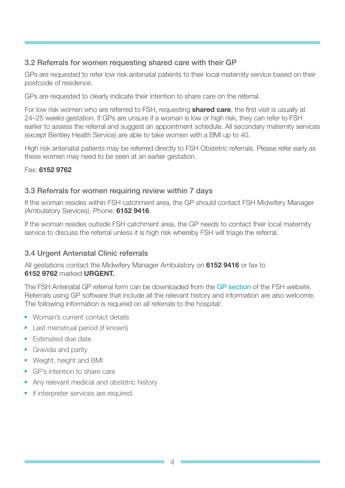### 3.2 Referrals for women requesting shared care with their GP

GPs are requested to refer low risk antenatal patients to their local maternity service based on their postcode of residence.

GPs are requested to clearly indicate their intention to share care on the referral.

For low risk women who are referred to FSH, requesting **shared care**, the first visit is usually at 24–25 weeks gestation. If GPs are unsure if a woman is low or high risk, they can refer to FSH earlier to assess the referral and suggest an appointment schedule. All secondary maternity services (except Bentley Health Service) are able to take women with a BMI up to 40.

High risk antenatal patients may be referred directly to FSH Obstetric referrals. Please refer early as these women may need to be seen at an earlier gestation.

#### Fax: 6152 9762

#### 3.3 Referrals for women requiring review within 7 days

If the woman resides within FSH catchment area, the GP should contact FSH Midwifery Manager (Ambulatory Services). Phone: 6152 9416.

If the woman resides outside FSH catchment area, the GP needs to contact their local maternity service to discuss the referral unless it is high risk whereby FSH will triage the referral.

### 3.4 Urgent Antenatal Clinic referrals

All gestations contact the Midwifery Manager Ambulatory on 6152 9416 or fax to 6152 9762 marked URGENT.

The FSH Antenatal GP referral form can be downloaded from the [GP section](http://www.fsh.health.wa.gov.au/For-health-professionals/GPs) of the FSH website. Referrals using GP software that include all the relevant history and information are also welcome. The following information is required on all referrals to the hospital:

- Woman's current contact details
- Last menstrual period (if known)
- Estimated due date
- **•** Gravida and parity
- Weight, height and BMI
- GP's intention to share care
- Any relevant medical and obstetric history
- **•** if interpreter services are required.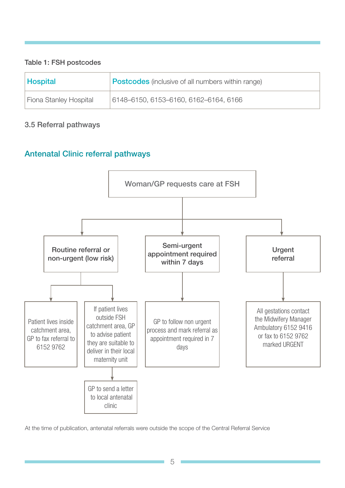#### Table 1: FSH postcodes

| <b>Hospital</b>        | <b>Postcodes</b> (inclusive of all numbers within range) |
|------------------------|----------------------------------------------------------|
| Fiona Stanley Hospital | 6148-6150, 6153-6160, 6162-6164, 6166                    |

### 3.5 Referral pathways

# Antenatal Clinic referral pathways



At the time of publication, antenatal referrals were outside the scope of the Central Referral Service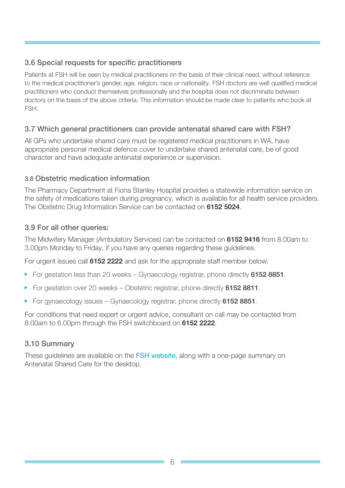### 3.6 Special requests for specific practitioners

Patients at FSH will be seen by medical practitioners on the basis of their clinical need, without reference to the medical practitioner's gender, age, religion, race or nationality. FSH doctors are well qualified medical practitioners who conduct themselves professionally and the hospital does not discriminate between doctors on the basis of the above criteria. This information should be made clear to patients who book at FSH.

### 3.7 Which general practitioners can provide antenatal shared care with FSH?

All GPs who undertake shared care must be registered medical practitioners in WA, have appropriate personal medical defence cover to undertake shared antenatal care, be of good character and have adequate antenatal experience or supervision.

#### 3.8 Obstetric medication information

The Pharmacy Department at Fiona Stanley Hospital provides a statewide information service on the safety of medications taken during pregnancy, which is available for all health service providers. The Obstetric Drug Information Service can be contacted on 6152 5024.

#### 3.9 For all other queries:

The Midwifery Manager (Ambulatory Services) can be contacted on 6152 9416 from 8.00am to 3.00pm Monday to Friday, if you have any queries regarding these guidelines.

For urgent issues call 6152 2222 and ask for the appropriate staff member below:

- For gestation less than 20 weeks Gynaecology registrar, phone directly 6152 8851.
- For gestation over 20 weeks Obstetric registrar, phone directly 6152 8811.
- For gynaecology issues Gynaecology registrar, phone directly 6152 8851.

For conditions that need expert or urgent advice, consultant on call may be contacted from 8.00am to 6.00pm through the FSH switchboard on 6152 2222.

### 3.10 Summary

These guidelines are available on the [FSH website](http://www.fsh.health.wa.gov.au/Our-services/Service-Directory/Maternity), along with a one-page summary on Antenatal Shared Care for the desktop.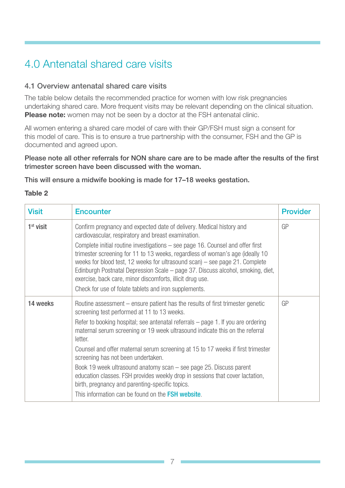# <span id="page-6-0"></span>4.0 Antenatal shared care visits

#### 4.1 Overview antenatal shared care visits

The table below details the recommended practice for women with low risk pregnancies undertaking shared care. More frequent visits may be relevant depending on the clinical situation. Please note: women may not be seen by a doctor at the FSH antenatal clinic.

All women entering a shared care model of care with their GP/FSH must sign a consent for this model of care. This is to ensure a true partnership with the consumer, FSH and the GP is documented and agreed upon.

Please note all other referrals for NON share care are to be made after the results of the first trimester screen have been discussed with the woman.

This will ensure a midwife booking is made for 17–18 weeks gestation.

#### Table 2

| <b>Visit</b> | <b>Encounter</b>                                                                                                                                                                                                                                                                                                                                                                                                                                                                                                                                                                                                                                                                                            | <b>Provider</b> |
|--------------|-------------------------------------------------------------------------------------------------------------------------------------------------------------------------------------------------------------------------------------------------------------------------------------------------------------------------------------------------------------------------------------------------------------------------------------------------------------------------------------------------------------------------------------------------------------------------------------------------------------------------------------------------------------------------------------------------------------|-----------------|
| $1st$ visit  | Confirm pregnancy and expected date of delivery. Medical history and<br>cardiovascular, respiratory and breast examination.<br>Complete initial routine investigations - see page 16. Counsel and offer first<br>trimester screening for 11 to 13 weeks, regardless of woman's age (ideally 10<br>weeks for blood test, 12 weeks for ultrasound scan) - see page 21. Complete<br>Edinburgh Postnatal Depression Scale – page 37. Discuss alcohol, smoking, diet,<br>exercise, back care, minor discomforts, illicit drug use.<br>Check for use of folate tablets and iron supplements.                                                                                                                      | GP              |
| 14 weeks     | Routine assessment – ensure patient has the results of first trimester genetic<br>screening test performed at 11 to 13 weeks.<br>Refer to booking hospital; see antenatal referrals – page 1. If you are ordering<br>maternal serum screening or 19 week ultrasound indicate this on the referral<br>letter.<br>Counsel and offer maternal serum screening at 15 to 17 weeks if first trimester<br>screening has not been undertaken.<br>Book 19 week ultrasound anatomy scan - see page 25. Discuss parent<br>education classes. FSH provides weekly drop in sessions that cover lactation,<br>birth, pregnancy and parenting-specific topics.<br>This information can be found on the <b>FSH website.</b> | GP              |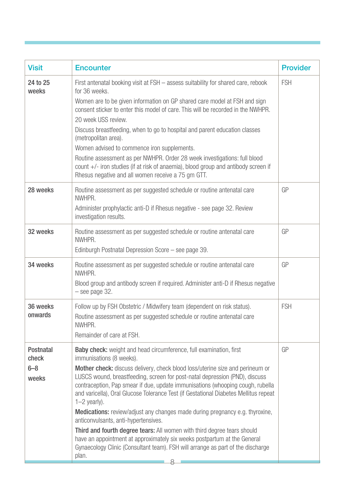| <b>Visit</b>                                  | <b>Encounter</b>                                                                                                                                                                                                                                                                                                                                                                                                                                                                                                                                                                                                                                                                                                                                                                                                                                    | <b>Provider</b> |
|-----------------------------------------------|-----------------------------------------------------------------------------------------------------------------------------------------------------------------------------------------------------------------------------------------------------------------------------------------------------------------------------------------------------------------------------------------------------------------------------------------------------------------------------------------------------------------------------------------------------------------------------------------------------------------------------------------------------------------------------------------------------------------------------------------------------------------------------------------------------------------------------------------------------|-----------------|
| 24 to 25<br>weeks                             | First antenatal booking visit at FSH - assess suitability for shared care, rebook<br>for 36 weeks.<br>Women are to be given information on GP shared care model at FSH and sign<br>consent sticker to enter this model of care. This will be recorded in the NWHPR.<br>20 week USS review.<br>Discuss breastfeeding, when to go to hospital and parent education classes<br>(metropolitan area).<br>Women advised to commence iron supplements.<br>Routine assessment as per NWHPR. Order 28 week investigations: full blood<br>count +/- iron studies (if at risk of anaemia), blood group and antibody screen if<br>Rhesus negative and all women receive a 75 gm GTT.                                                                                                                                                                            | <b>FSH</b>      |
| 28 weeks                                      | Routine assessment as per suggested schedule or routine antenatal care<br>NWHPR.<br>Administer prophylactic anti-D if Rhesus negative - see page 32. Review<br>investigation results.                                                                                                                                                                                                                                                                                                                                                                                                                                                                                                                                                                                                                                                               | GP              |
| 32 weeks                                      | Routine assessment as per suggested schedule or routine antenatal care<br>NWHPR.<br>Edinburgh Postnatal Depression Score - see page 39.                                                                                                                                                                                                                                                                                                                                                                                                                                                                                                                                                                                                                                                                                                             | GP              |
| 34 weeks                                      | Routine assessment as per suggested schedule or routine antenatal care<br>NWHPR.<br>Blood group and antibody screen if required. Administer anti-D if Rhesus negative<br>$-$ see page 32.                                                                                                                                                                                                                                                                                                                                                                                                                                                                                                                                                                                                                                                           | GP              |
| 36 weeks<br>onwards                           | Follow up by FSH Obstetric / Midwifery team (dependent on risk status).<br>Routine assessment as per suggested schedule or routine antenatal care<br>NWHPR.<br>Remainder of care at FSH.                                                                                                                                                                                                                                                                                                                                                                                                                                                                                                                                                                                                                                                            | <b>FSH</b>      |
| <b>Postnatal</b><br>check<br>$6 - 8$<br>weeks | <b>Baby check:</b> weight and head circumference, full examination, first<br>immunisations (8 weeks).<br>Mother check: discuss delivery, check blood loss/uterine size and perineum or<br>LUSCS wound, breastfeeding, screen for post-natal depression (PND), discuss<br>contraception, Pap smear if due, update immunisations (whooping cough, rubella<br>and varicella), Oral Glucose Tolerance Test (if Gestational Diabetes Mellitus repeat<br>$1-2$ yearly).<br><b>Medications:</b> review/adjust any changes made during pregnancy e.g. thyroxine,<br>anticonvulsants, anti-hypertensives.<br>Third and fourth degree tears: All women with third degree tears should<br>have an appointment at approximately six weeks postpartum at the General<br>Gynaecology Clinic (Consultant team). FSH will arrange as part of the discharge<br>plan. | GP              |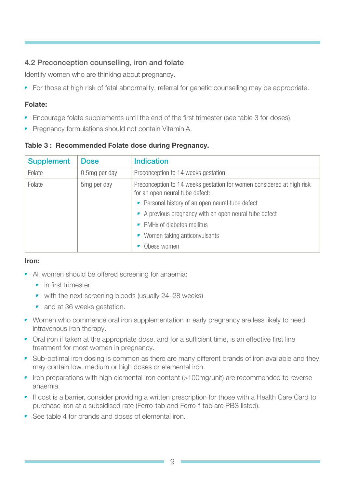# 4.2 Preconception counselling, iron and folate

Identify women who are thinking about pregnancy.

• For those at high risk of fetal abnormality, referral for genetic counselling may be appropriate.

#### Folate:

- Encourage folate supplements until the end of the first trimester (see table 3 for doses).
- Pregnancy formulations should not contain Vitamin A.

Table 3 : Recommended Folate dose during Pregnancy.

| <b>Supplement</b> | <b>Dose</b>             | <b>Indication</b>                                                                                        |  |
|-------------------|-------------------------|----------------------------------------------------------------------------------------------------------|--|
| Folate            | 0.5mg per day           | Preconception to 14 weeks gestation.                                                                     |  |
| Folate            | 5 <sub>mg</sub> per day | Preconception to 14 weeks gestation for women considered at high risk<br>for an open neural tube defect: |  |
|                   |                         | • Personal history of an open neural tube defect                                                         |  |
|                   |                         | A previous pregnancy with an open neural tube defect                                                     |  |
|                   |                         | • PMHx of diabetes mellitus                                                                              |  |
|                   |                         | • Women taking anticonvulsants                                                                           |  |
|                   |                         | Obese women                                                                                              |  |

#### Iron:

- All women should be offered screening for anaemia:
	- **•** in first trimester
	- with the next screening bloods (usually 24–28 weeks)
	- and at 36 weeks gestation.
- Women who commence oral iron supplementation in early pregnancy are less likely to need intravenous iron therapy.
- Oral iron if taken at the appropriate dose, and for a sufficient time, is an effective first line treatment for most women in pregnancy.
- Sub-optimal iron dosing is common as there are many different brands of iron available and they may contain low, medium or high doses or elemental iron.
- Iron preparations with high elemental iron content (>100mg/unit) are recommended to reverse anaemia.
- If cost is a barrier, consider providing a written prescription for those with a Health Care Card to purchase iron at a subsidised rate (Ferro-tab and Ferro-f-tab are PBS listed).
- See table 4 for brands and doses of elemental iron.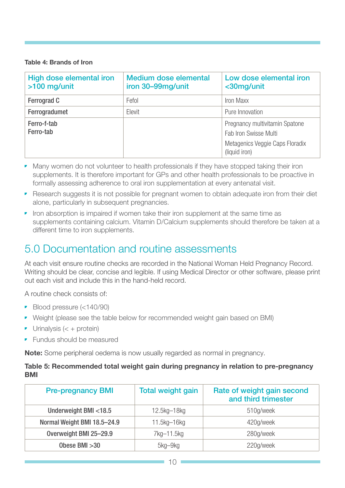#### Table 4: Brands of Iron

| High dose elemental iron<br>$>100$ mg/unit | <b>Medium dose elemental</b><br>iron 30-99mg/unit | Low dose elemental iron<br><30mg/unit                   |
|--------------------------------------------|---------------------------------------------------|---------------------------------------------------------|
| <b>Ferrograd C</b>                         | Fefol                                             | Iron Maxx                                               |
| Ferrogradumet                              | Elevit                                            | Pure Innovation                                         |
| Ferro-f-tab<br>Ferro-tab                   |                                                   | Pregnancy multivitamin Spatone<br>Fab Iron Swisse Multi |
|                                            |                                                   | Metagenics Veggie Caps Floradix<br>(liquid iron)        |

- Many women do not volunteer to health professionals if they have stopped taking their iron supplements. It is therefore important for GPs and other health professionals to be proactive in formally assessing adherence to oral iron supplementation at every antenatal visit.
- Research suggests it is not possible for pregnant women to obtain adequate iron from their diet alone, particularly in subsequent pregnancies.
- Iron absorption is impaired if women take their iron supplement at the same time as supplements containing calcium. Vitamin D/Calcium supplements should therefore be taken at a different time to iron supplements.

# 5.0 Documentation and routine assessments

At each visit ensure routine checks are recorded in the National Woman Held Pregnancy Record. Writing should be clear, concise and legible. If using Medical Director or other software, please print out each visit and include this in the hand-held record.

A routine check consists of:

- Blood pressure (<140/90)
- Weight (please see the table below for recommended weight gain based on BMI)
- $\bullet$  Urinalysis (< + protein)
- Fundus should be measured

Note: Some peripheral oedema is now usually regarded as normal in pregnancy.

#### Table 5: Recommended total weight gain during pregnancy in relation to pre-pregnancy **BMI**

| <b>Pre-pregnancy BMI</b>    | <b>Total weight gain</b> | Rate of weight gain second<br>and third trimester |
|-----------------------------|--------------------------|---------------------------------------------------|
| Underweight BMI <18.5       | 12.5kg-18kg              | 510g/week                                         |
| Normal Weight BMI 18.5-24.9 | 11.5kg-16kg              | 420g/week                                         |
| Overweight BMI 25-29.9      | 7kg-11.5kg               | 280g/week                                         |
| Obese BMI $>30$             | 5kg-9kg                  | 220g/week                                         |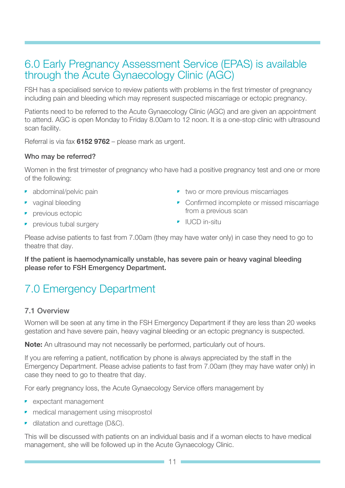# <span id="page-10-0"></span>6.0 Early Pregnancy Assessment Service (EPAS) is available through the Acute Gynaecology Clinic (AGC)

FSH has a specialised service to review patients with problems in the first trimester of pregnancy including pain and bleeding which may represent suspected miscarriage or ectopic pregnancy.

Patients need to be referred to the Acute Gynaecology Clinic (AGC) and are given an appointment to attend. AGC is open Monday to Friday 8.00am to 12 noon. It is a one-stop clinic with ultrasound scan facility.

Referral is via fax 6152 9762 – please mark as urgent.

#### Who may be referred?

Women in the first trimester of pregnancy who have had a positive pregnancy test and one or more of the following:

- abdominal/pelvic pain
- vaginal bleeding
- **•** previous ectopic
- previous tubal surgery
- two or more previous miscarriages
- Confirmed incomplete or missed miscarriage from a previous scan
- IUCD in-situ

Please advise patients to fast from 7.00am (they may have water only) in case they need to go to theatre that day.

If the patient is haemodynamically unstable, has severe pain or heavy vaginal bleeding please refer to FSH Emergency Department.

# 7.0 Emergency Department

### 7.1 Overview

Women will be seen at any time in the FSH Emergency Department if they are less than 20 weeks gestation and have severe pain, heavy vaginal bleeding or an ectopic pregnancy is suspected.

**Note:** An ultrasound may not necessarily be performed, particularly out of hours.

If you are referring a patient, notification by phone is always appreciated by the staff in the Emergency Department. Please advise patients to fast from 7.00am (they may have water only) in case they need to go to theatre that day.

For early pregnancy loss, the Acute Gynaecology Service offers management by

- expectant management
- medical management using misoprostol
- dilatation and curettage (D&C).

This will be discussed with patients on an individual basis and if a woman elects to have medical management, she will be followed up in the Acute Gynaecology Clinic.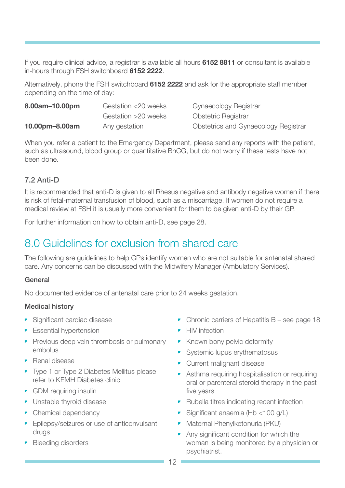<span id="page-11-0"></span>If you require clinical advice, a registrar is available all hours 6152 8811 or consultant is available in-hours through FSH switchboard 6152 2222.

Alternatively, phone the FSH switchboard 6152 2222 and ask for the appropriate staff member depending on the time of day:

| 8.00am-10.00pm | Gestation <20 weeks | Gynaecology Registrar                |
|----------------|---------------------|--------------------------------------|
|                | Gestation >20 weeks | <b>Obstetric Registrar</b>           |
| 10.00pm-8.00am | Any gestation       | Obstetrics and Gynaecology Registrar |

When you refer a patient to the Emergency Department, please send any reports with the patient, such as ultrasound, blood group or quantitative BhCG, but do not worry if these tests have not been done.

### 7.2 Anti-D

It is recommended that anti-D is given to all Rhesus negative and antibody negative women if there is risk of fetal-maternal transfusion of blood, such as a miscarriage. If women do not require a medical review at FSH it is usually more convenient for them to be given anti-D by their GP.

For further information on how to obtain anti-D, see page 28.

# 8.0 Guidelines for exclusion from shared care

The following are guidelines to help GPs identify women who are not suitable for antenatal shared care. Any concerns can be discussed with the Midwifery Manager (Ambulatory Services).

#### General

No documented evidence of antenatal care prior to 24 weeks gestation.

#### Medical history

- Significant cardiac disease
- **•** Essential hypertension
- Previous deep vein thrombosis or pulmonary embolus
- Renal disease
- Type 1 or Type 2 Diabetes Mellitus please refer to KEMH Diabetes clinic
- GDM requiring insulin
- Unstable thyroid disease
- Chemical dependency
- Epilepsy/seizures or use of anticonvulsant drugs
- Bleeding disorders
- Chronic carriers of Hepatitis B see page 18
- HIV infection
- Known bony pelvic deformity
- Systemic lupus erythematosus
- Current malignant disease
- Asthma requiring hospitalisation or requiring oral or parenteral steroid therapy in the past five years
- Rubella titres indicating recent infection
- Significant anaemia (Hb <100 g/L)
- Maternal Phenylketonuria (PKU)
- Any significant condition for which the woman is being monitored by a physician or psychiatrist.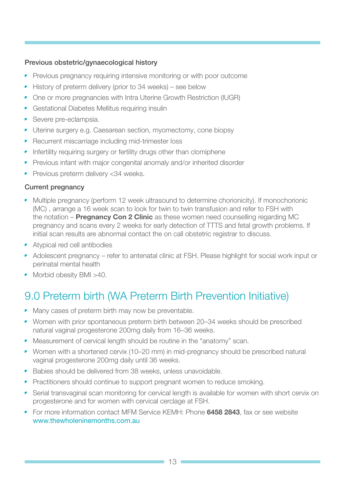#### <span id="page-12-0"></span>Previous obstetric/gynaecological history

- Previous pregnancy requiring intensive monitoring or with poor outcome
- History of preterm delivery (prior to 34 weeks) see below
- One or more pregnancies with Intra Uterine Growth Restriction (IUGR)
- Gestational Diabetes Mellitus requiring insulin
- **•** Severe pre-eclampsia.
- Uterine surgery e.g. Caesarean section, myomectomy, cone biopsy
- Recurrent miscarriage including mid-trimester loss
- Infertility requiring surgery or fertility drugs other than clomiphene
- Previous infant with major congenital anomaly and/or inherited disorder
- Previous preterm delivery < 34 weeks.

#### Current pregnancy

- Multiple pregnancy (perform 12 week ultrasound to determine chorionicity). If monochorionic (MC) , arrange a 16 week scan to look for twin to twin transfusion and refer to FSH with the notation – **Pregnancy Con 2 Clinic** as these women need counselling regarding MC pregnancy and scans every 2 weeks for early detection of TTTS and fetal growth problems. If initial scan results are abnormal contact the on call obstetric registrar to discuss.
- Atypical red cell antibodies
- Adolescent pregnancy refer to antenatal clinic at FSH. Please highlight for social work input or perinatal mental health
- Morbid obesity BMI >40.

# 9.0 Preterm birth (WA Preterm Birth Prevention Initiative)

- Many cases of preterm birth may now be preventable.
- Women with prior spontaneous preterm birth between 20–34 weeks should be prescribed natural vaginal progesterone 200mg daily from 16–36 weeks.
- Measurement of cervical length should be routine in the "anatomy" scan.
- Women with a shortened cervix (10–20 mm) in mid-pregnancy should be prescribed natural vaginal progesterone 200mg daily until 36 weeks.
- Babies should be delivered from 38 weeks, unless unavoidable.
- Practitioners should continue to support pregnant women to reduce smoking.
- Serial transvaginal scan monitoring for cervical length is available for women with short cervix on progesterone and for women with cervical cerclage at FSH.
- For more information contact MFM Service KEMH: Phone 6458 2843, fax or see website [www.thewholeninemonths.com.au](http://www.thewholeninemonths.com.au)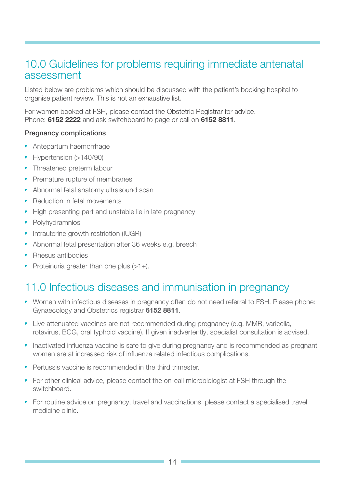# <span id="page-13-0"></span>10.0 Guidelines for problems requiring immediate antenatal assessment

Listed below are problems which should be discussed with the patient's booking hospital to organise patient review. This is not an exhaustive list.

For women booked at FSH, please contact the Obstetric Registrar for advice. Phone: **6152 2222** and ask switchboard to page or call on **6152 8811**.

#### Pregnancy complications

- Antepartum haemorrhage
- Hypertension (>140/90)
- **•** Threatened preterm labour
- Premature rupture of membranes
- Abnormal fetal anatomy ultrasound scan
- Reduction in fetal movements
- High presenting part and unstable lie in late pregnancy
- **•** Polyhydramnios
- Intrauterine growth restriction (IUGR)
- Abnormal fetal presentation after 36 weeks e.g. breech
- Rhesus antibodies
- Proteinuria greater than one plus  $(>1+)$ .

# 11.0 Infectious diseases and immunisation in pregnancy

- Women with infectious diseases in pregnancy often do not need referral to FSH. Please phone: Gynaecology and Obstetrics registrar 6152 8811.
- Live attenuated vaccines are not recommended during pregnancy (e.g. MMR, varicella, rotavirus, BCG, oral typhoid vaccine). If given inadvertently, specialist consultation is advised.
- Inactivated influenza vaccine is safe to give during pregnancy and is recommended as pregnant women are at increased risk of influenza related infectious complications.
- Pertussis vaccine is recommended in the third trimester.
- For other clinical advice, please contact the on-call microbiologist at FSH through the switchboard.
- For routine advice on pregnancy, travel and vaccinations, please contact a specialised travel medicine clinic.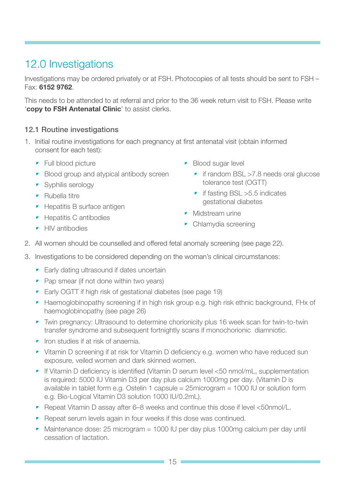# <span id="page-14-0"></span>12.0 Investigations

Investigations may be ordered privately or at FSH. Photocopies of all tests should be sent to FSH – Fax: 6152 9762.

This needs to be attended to at referral and prior to the 36 week return visit to FSH. Please write 'copy to FSH Antenatal Clinic' to assist clerks.

### 12.1 Routine investigations

- 1. Initial routine investigations for each pregnancy at first antenatal visit (obtain informed consent for each test):
	- Full blood picture
	- Blood group and atypical antibody screen
	- Syphilis serology
	- Rubella titre
	- Hepatitis B surface antigen
	- Hepatitis C antibodies
	- HIV antibodies
- Blood sugar level
	- if random BSL >7.8 needs oral glucose tolerance test (OGTT)
	- if fasting BSL > 5.5 indicates gestational diabetes
- **•** Midstream urine
- Chlamydia screening
- 2. All women should be counselled and offered fetal anomaly screening (see page 22).
- 3. Investigations to be considered depending on the woman's clinical circumstances:
	- Early dating ultrasound if dates uncertain
	- Pap smear (if not done within two years)
	- Early OGTT if high risk of gestational diabetes (see page 19)
	- Haemoglobinopathy screening if in high risk group e.g. high risk ethnic background, FHx of haemoglobinopathy (see page 26)
	- Twin pregnancy: Ultrasound to determine chorionicity plus 16 week scan for twin-to-twin transfer syndrome and subsequent fortnightly scans if monochorionic diamniotic.
	- Iron studies if at risk of anaemia.
	- Vitamin D screening if at risk for Vitamin D deficiency e.g. women who have reduced sun exposure, veiled women and dark skinned women.
	- If Vitamin D deficiency is identified (Vitamin D serum level <50 nmol/mL, supplementation is required: 5000 IU Vitamin D3 per day plus calcium 1000mg per day. (Vitamin D is available in tablet form e.g. Ostelin 1 capsule = 25microgram = 1000 IU or solution form e.g. Bio-Logical Vitamin D3 solution 1000 IU/0.2mL).
	- Repeat Vitamin D assay after 6–8 weeks and continue this dose if level <50nmol/L.
	- Repeat serum levels again in four weeks if this dose was continued.
	- Maintenance dose: 25 microgram = 1000 IU per day plus 1000mg calcium per day until cessation of lactation.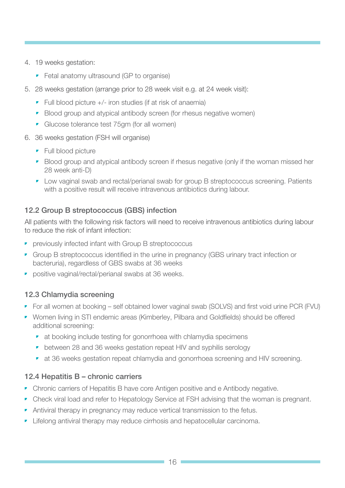- <span id="page-15-0"></span>4. 19 weeks gestation:
	- Fetal anatomy ultrasound (GP to organise)
- 5. 28 weeks gestation (arrange prior to 28 week visit e.g. at 24 week visit):
	- $\blacksquare$  Full blood picture  $+/-$  iron studies (if at risk of anaemia)
	- Blood group and atypical antibody screen (for rhesus negative women)
	- Glucose tolerance test 75gm (for all women)
- 6. 36 weeks gestation (FSH will organise)
	- **•** Full blood picture
	- Blood group and atypical antibody screen if rhesus negative (only if the woman missed her 28 week anti-D)
	- Low vaginal swab and rectal/perianal swab for group B streptococcus screening. Patients with a positive result will receive intravenous antibiotics during labour.

# 12.2 Group B streptococcus (GBS) infection

All patients with the following risk factors will need to receive intravenous antibiotics during labour to reduce the risk of infant infection:

- previously infected infant with Group B streptococcus
- Group B streptococcus identified in the urine in pregnancy (GBS urinary tract infection or bacteruria), regardless of GBS swabs at 36 weeks
- **•** positive vaginal/rectal/perianal swabs at 36 weeks.

### 12.3 Chlamydia screening

- For all women at booking self obtained lower vaginal swab (SOLVS) and first void urine PCR (FVU)
- Women living in STI endemic areas (Kimberley, Pilbara and Goldfields) should be offered additional screening:
	- at booking include testing for gonorrhoea with chlamydia specimens
	- between 28 and 36 weeks gestation repeat HIV and syphilis serology
	- at 36 weeks gestation repeat chlamydia and gonorrhoea screening and HIV screening.

### 12.4 Hepatitis B – chronic carriers

- Chronic carriers of Hepatitis B have core Antigen positive and e Antibody negative.
- Check viral load and refer to Hepatology Service at FSH advising that the woman is pregnant.
- Antiviral therapy in pregnancy may reduce vertical transmission to the fetus.
- Lifelong antiviral therapy may reduce cirrhosis and hepatocellular carcinoma.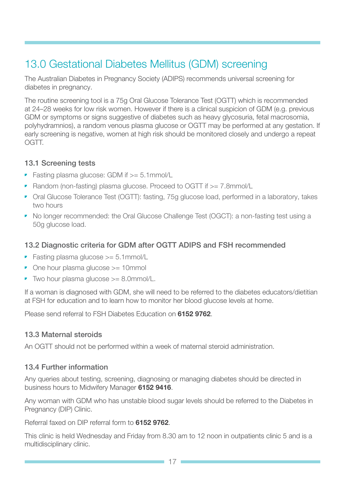# <span id="page-16-0"></span>13.0 Gestational Diabetes Mellitus (GDM) screening

The Australian Diabetes in Pregnancy Society (ADIPS) recommends universal screening for diabetes in pregnancy.

The routine screening tool is a 75g Oral Glucose Tolerance Test (OGTT) which is recommended at 24–28 weeks for low risk women. However if there is a clinical suspicion of GDM (e.g. previous GDM or symptoms or signs suggestive of diabetes such as heavy glycosuria, fetal macrosomia, polyhydramnios), a random venous plasma glucose or OGTT may be performed at any gestation. If early screening is negative, women at high risk should be monitored closely and undergo a repeat OGTT.

#### 13.1 Screening tests

- Fasting plasma glucose: GDM if  $>= 5.1$ mmol/L
- Random (non-fasting) plasma glucose. Proceed to OGTT if  $>= 7.8$ mmol/L
- Oral Glucose Tolerance Test (OGTT): fasting, 75g glucose load, performed in a laboratory, takes two hours
- No longer recommended: the Oral Glucose Challenge Test (OGCT): a non-fasting test using a 50g glucose load.

# 13.2 Diagnostic criteria for GDM after OGTT ADIPS and FSH recommended

- Fasting plasma glucose >= 5.1mmol/L
- One hour plasma glucose >= 10mmol
- Two hour plasma glucose >= 8.0mmol/L.

If a woman is diagnosed with GDM, she will need to be referred to the diabetes educators/dietitian at FSH for education and to learn how to monitor her blood glucose levels at home.

Please send referral to FSH Diabetes Education on **6152 9762**.

### 13.3 Maternal steroids

An OGTT should not be performed within a week of maternal steroid administration.

### 13.4 Further information

Any queries about testing, screening, diagnosing or managing diabetes should be directed in business hours to Midwifery Manager 6152 9416.

Any woman with GDM who has unstable blood sugar levels should be referred to the Diabetes in Pregnancy (DIP) Clinic.

Referral faxed on DIP referral form to 6152 9762.

This clinic is held Wednesday and Friday from 8.30 am to 12 noon in outpatients clinic 5 and is a multidisciplinary clinic.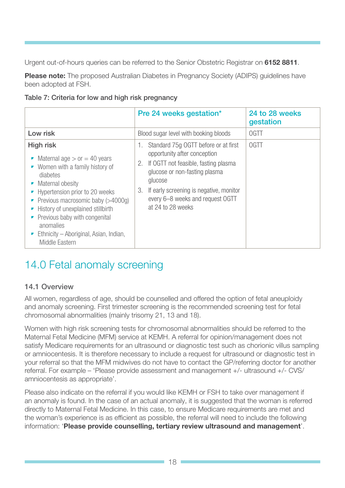Urgent out-of-hours queries can be referred to the Senior Obstetric Registrar on 6152 8811.

**Please note:** The proposed Australian Diabetes in Pregnancy Society (ADIPS) quidelines have been adopted at FSH.

|  |  |  |  | Table 7: Criteria for low and high risk pregnancy |
|--|--|--|--|---------------------------------------------------|
|  |  |  |  |                                                   |

|                                                                                                                                                                                                                                                                                                                                                          | Pre 24 weeks gestation*                                                                                                                                                                                                                                                     | 24 to 28 weeks<br>gestation |
|----------------------------------------------------------------------------------------------------------------------------------------------------------------------------------------------------------------------------------------------------------------------------------------------------------------------------------------------------------|-----------------------------------------------------------------------------------------------------------------------------------------------------------------------------------------------------------------------------------------------------------------------------|-----------------------------|
| Low risk                                                                                                                                                                                                                                                                                                                                                 | Blood sugar level with booking bloods                                                                                                                                                                                                                                       | <b>OGTT</b>                 |
| <b>High risk</b><br>• Maternal age $>$ or $=$ 40 years<br>Women with a family history of<br>▼.<br>diabetes<br>Maternal obesity<br>• Hypertension prior to 20 weeks<br>Previous macrosomic baby (>4000g)<br>History of unexplained stillbirth<br>• Previous baby with congenital<br>anomalies<br>Ethnicity – Aboriginal, Asian, Indian,<br>Middle Eastern | Standard 75g OGTT before or at first<br>1.<br>opportunity after conception<br>2. If OGTT not feasible, fasting plasma<br>glucose or non-fasting plasma<br>glucose<br>If early screening is negative, monitor<br>3.<br>every 6–8 weeks and request OGTT<br>at 24 to 28 weeks | <b>OGTT</b>                 |

# 14.0 Fetal anomaly screening

# 14.1 Overview

All women, regardless of age, should be counselled and offered the option of fetal aneuploidy and anomaly screening. First trimester screening is the recommended screening test for fetal chromosomal abnormalities (mainly trisomy 21, 13 and 18).

Women with high risk screening tests for chromosomal abnormalities should be referred to the Maternal Fetal Medicine (MFM) service at KEMH. A referral for opinion/management does not satisfy Medicare requirements for an ultrasound or diagnostic test such as chorionic villus sampling or amniocentesis. It is therefore necessary to include a request for ultrasound or diagnostic test in your referral so that the MFM midwives do not have to contact the GP/referring doctor for another referral. For example – 'Please provide assessment and management +/- ultrasound +/- CVS/ amniocentesis as appropriate'.

Please also indicate on the referral if you would like KEMH or FSH to take over management if an anomaly is found. In the case of an actual anomaly, it is suggested that the woman is referred directly to Maternal Fetal Medicine. In this case, to ensure Medicare requirements are met and the woman's experience is as efficient as possible, the referral will need to include the following information: 'Please provide counselling, tertiary review ultrasound and management'.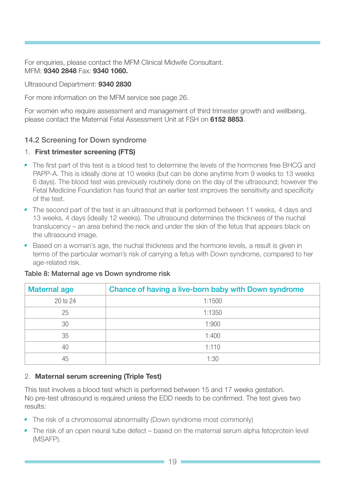<span id="page-18-0"></span>For enquiries, please contact the MFM Clinical Midwife Consultant. MFM: 9340 2848 Fax: 9340 1060.

Ultrasound Department: 9340 2830

For more information on the MFM service see page 26.

For women who require assessment and management of third trimester growth and wellbeing, please contact the Maternal Fetal Assessment Unit at FSH on 6152 8853.

### 14.2 Screening for Down syndrome

#### 1. First trimester screening (FTS)

- The first part of this test is a blood test to determine the levels of the hormones free BHCG and PAPP-A. This is ideally done at 10 weeks (but can be done anytime from 9 weeks to 13 weeks 6 days). The blood test was previously routinely done on the day of the ultrasound; however the Fetal Medicine Foundation has found that an earlier test improves the sensitivity and specificity of the test.
- The second part of the test is an ultrasound that is performed between 11 weeks, 4 days and 13 weeks, 4 days (ideally 12 weeks). The ultrasound determines the thickness of the nuchal translucency – an area behind the neck and under the skin of the fetus that appears black on the ultrasound image.
- Based on a woman's age, the nuchal thickness and the hormone levels, a result is given in terms of the particular woman's risk of carrying a fetus with Down syndrome, compared to her age-related risk.

| <b>Maternal age</b> | Chance of having a live-born baby with Down syndrome |
|---------------------|------------------------------------------------------|
| 20 to 24            | 1:1500                                               |
| 25                  | 1:1350                                               |
| 30                  | 1:900                                                |
| 35                  | 1:400                                                |
| 40                  | 1:110                                                |
| 45                  | 1:30                                                 |

#### Table 8: Maternal age vs Down syndrome risk

#### 2. Maternal serum screening (Triple Test)

This test involves a blood test which is performed between 15 and 17 weeks gestation. No pre-test ultrasound is required unless the EDD needs to be confirmed. The test gives two results:

- The risk of a chromosomal abnormality (Down syndrome most commonly)
- The risk of an open neural tube defect based on the maternal serum alpha fetoprotein level (MSAFP).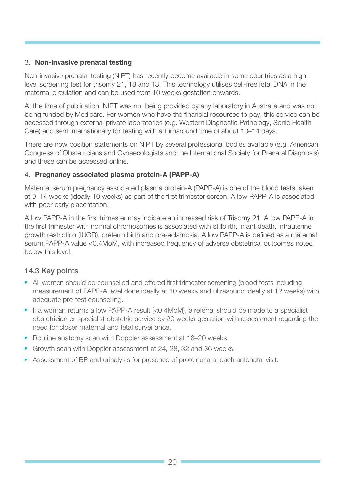#### 3. Non-invasive prenatal testing

Non-invasive prenatal testing (NIPT) has recently become available in some countries as a highlevel screening test for trisomy 21, 18 and 13. This technology utilises cell-free fetal DNA in the maternal circulation and can be used from 10 weeks gestation onwards.

At the time of publication, NIPT was not being provided by any laboratory in Australia and was not being funded by Medicare. For women who have the financial resources to pay, this service can be accessed through external private laboratories (e.g. Western Diagnostic Pathology, Sonic Health Care) and sent internationally for testing with a turnaround time of about 10–14 days.

There are now position statements on NIPT by several professional bodies available (e.g. American Congress of Obstetricians and Gynaecologists and the International Society for Prenatal Diagnosis) and these can be accessed online.

#### 4. Pregnancy associated plasma protein-A (PAPP-A)

Maternal serum pregnancy associated plasma protein-A (PAPP-A) is one of the blood tests taken at 9–14 weeks (ideally 10 weeks) as part of the first trimester screen. A low PAPP-A is associated with poor early placentation.

A low PAPP-A in the first trimester may indicate an increased risk of Trisomy 21. A low PAPP-A in the first trimester with normal chromosomes is associated with stillbirth, infant death, intrauterine growth restriction (IUGR), preterm birth and pre-eclampsia. A low PAPP-A is defined as a maternal serum PAPP-A value <0.4MoM, with increased frequency of adverse obstetrical outcomes noted below this level.

# 14.3 Key points

- All women should be counselled and offered first trimester screening (blood tests including measurement of PAPP-A level done ideally at 10 weeks and ultrasound ideally at 12 weeks) with adequate pre-test counselling.
- If a woman returns a low PAPP-A result (<0.4MoM), a referral should be made to a specialist obstetrician or specialist obstetric service by 20 weeks gestation with assessment regarding the need for closer maternal and fetal surveillance.
- Routine anatomy scan with Doppler assessment at 18–20 weeks.
- Growth scan with Doppler assessment at 24, 28, 32 and 36 weeks.
- Assessment of BP and urinalysis for presence of proteinuria at each antenatal visit.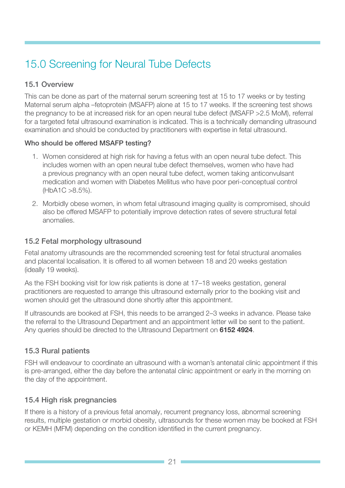# <span id="page-20-0"></span>15.0 Screening for Neural Tube Defects

### 15.1 Overview

This can be done as part of the maternal serum screening test at 15 to 17 weeks or by testing Maternal serum alpha –fetoprotein (MSAFP) alone at 15 to 17 weeks. If the screening test shows the pregnancy to be at increased risk for an open neural tube defect (MSAFP >2.5 MoM), referral for a targeted fetal ultrasound examination is indicated. This is a technically demanding ultrasound examination and should be conducted by practitioners with expertise in fetal ultrasound.

#### Who should be offered MSAFP testing?

- 1. Women considered at high risk for having a fetus with an open neural tube defect. This includes women with an open neural tube defect themselves, women who have had a previous pregnancy with an open neural tube defect, women taking anticonvulsant medication and women with Diabetes Mellitus who have poor peri-conceptual control (HbA1C >8.5%).
- 2. Morbidly obese women, in whom fetal ultrasound imaging quality is compromised, should also be offered MSAFP to potentially improve detection rates of severe structural fetal anomalies.

### 15.2 Fetal morphology ultrasound

Fetal anatomy ultrasounds are the recommended screening test for fetal structural anomalies and placental localisation. It is offered to all women between 18 and 20 weeks gestation (ideally 19 weeks).

As the FSH booking visit for low risk patients is done at 17–18 weeks gestation, general practitioners are requested to arrange this ultrasound externally prior to the booking visit and women should get the ultrasound done shortly after this appointment.

If ultrasounds are booked at FSH, this needs to be arranged 2–3 weeks in advance. Please take the referral to the Ultrasound Department and an appointment letter will be sent to the patient. Any queries should be directed to the Ultrasound Department on 6152 4924.

### 15.3 Rural patients

FSH will endeavour to coordinate an ultrasound with a woman's antenatal clinic appointment if this is pre-arranged, either the day before the antenatal clinic appointment or early in the morning on the day of the appointment.

### 15.4 High risk pregnancies

If there is a history of a previous fetal anomaly, recurrent pregnancy loss, abnormal screening results, multiple gestation or morbid obesity, ultrasounds for these women may be booked at FSH or KEMH (MFM) depending on the condition identified in the current pregnancy.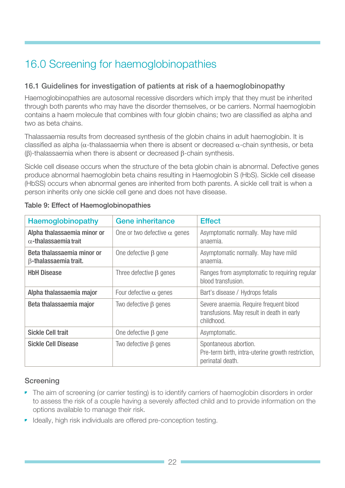# 16.0 Screening for haemoglobinopathies

### 16.1 Guidelines for investigation of patients at risk of a haemoglobinopathy

Haemoglobinopathies are autosomal recessive disorders which imply that they must be inherited through both parents who may have the disorder themselves, or be carriers. Normal haemoglobin contains a haem molecule that combines with four globin chains; two are classified as alpha and two as beta chains.

Thalassaemia results from decreased synthesis of the globin chains in adult haemoglobin. It is classified as alpha ( $\alpha$ -thalassaemia when there is absent or decreased  $\alpha$ -chain synthesis, or beta (β)-thalassaemia when there is absent or decreased β-chain synthesis.

Sickle cell disease occurs when the structure of the beta globin chain is abnormal. Defective genes produce abnormal haemoglobin beta chains resulting in Haemoglobin S (HbS). Sickle cell disease (HbSS) occurs when abnormal genes are inherited from both parents. A sickle cell trait is when a person inherits only one sickle cell gene and does not have disease.

| Haemoglobinopathy                                           | <b>Gene inheritance</b>             | <b>Effect</b>                                                                                      |
|-------------------------------------------------------------|-------------------------------------|----------------------------------------------------------------------------------------------------|
| Alpha thalassaemia minor or<br>$\alpha$ -thalassaemia trait | One or two defective $\alpha$ genes | Asymptomatic normally. May have mild<br>anaemia.                                                   |
| Beta thalassaemia minor or<br>$\beta$ -thalassaemia trait.  | One defective $\beta$ gene          | Asymptomatic normally. May have mild<br>anaemia.                                                   |
| <b>HbH Disease</b>                                          | Three defective $\beta$ genes       | Ranges from asymptomatic to requiring regular<br>blood transfusion.                                |
| Alpha thalassaemia major                                    | Four defective $\alpha$ genes       | Bart's disease / Hydrops fetalis                                                                   |
| Beta thalassaemia major                                     | Two defective $\beta$ genes         | Severe anaemia. Require frequent blood<br>transfusions. May result in death in early<br>childhood. |
| <b>Sickle Cell trait</b>                                    | One defective $\beta$ gene          | Asymptomatic.                                                                                      |
| <b>Sickle Cell Disease</b>                                  | Two defective $\beta$ genes         | Spontaneous abortion.<br>Pre-term birth, intra-uterine growth restriction,<br>perinatal death.     |

#### Table 9: Effect of Haemoglobinopathies

### **Screening**

- The aim of screening (or carrier testing) is to identify carriers of haemoglobin disorders in order to assess the risk of a couple having a severely affected child and to provide information on the options available to manage their risk.
- Ideally, high risk individuals are offered pre-conception testing.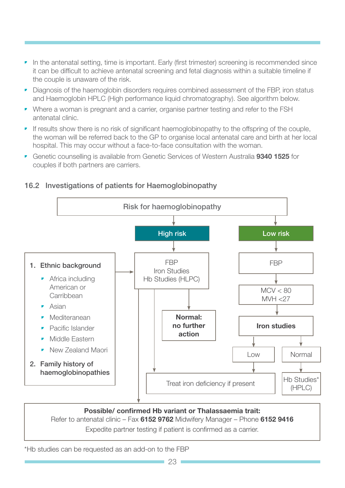- In the antenatal setting, time is important. Early (first trimester) screening is recommended since it can be difficult to achieve antenatal screening and fetal diagnosis within a suitable timeline if the couple is unaware of the risk.
- Diagnosis of the haemoglobin disorders requires combined assessment of the FBP, iron status and Haemoglobin HPLC (High performance liquid chromatography). See algorithm below.
- Where a woman is pregnant and a carrier, organise partner testing and refer to the FSH antenatal clinic.
- If results show there is no risk of significant haemoglobinopathy to the offspring of the couple, the woman will be referred back to the GP to organise local antenatal care and birth at her local hospital. This may occur without a face-to-face consultation with the woman.
- Genetic counselling is available from Genetic Services of Western Australia 9340 1525 for couples if both partners are carriers.

#### Risk for haemoglobinopathy 1. Ethnic background **•** Africa including American or Carribbean • Asian • Mediteranean • Pacific Islander • Middle Eastern • New Zealand Maori 2. Family history of haemoglobinopathies Treat iron deficiency if present Normal: no further action Low Normal Hb Studies\* (HPLC)  $MCV < 80$ MVH <27 FBP Iron Studies Hb Studies (HLPC) High risk FBP Iron studies Low risk

# 16.2 Investigations of patients for Haemoglobinopathy

Possible/ confirmed Hb variant or Thalassaemia trait: Refer to antenatal clinic – Fax 6152 9762 Midwifery Manager – Phone 6152 9416 Expedite partner testing if patient is confirmed as a carrier.

\*Hb studies can be requested as an add-on to the FBP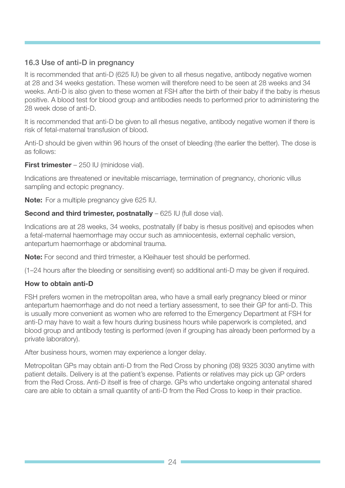# <span id="page-23-0"></span>16.3 Use of anti-D in pregnancy

It is recommended that anti-D (625 IU) be given to all rhesus negative, antibody negative women at 28 and 34 weeks gestation. These women will therefore need to be seen at 28 weeks and 34 weeks. Anti-D is also given to these women at FSH after the birth of their baby if the baby is rhesus positive. A blood test for blood group and antibodies needs to performed prior to administering the 28 week dose of anti-D.

It is recommended that anti-D be given to all rhesus negative, antibody negative women if there is risk of fetal-maternal transfusion of blood.

Anti-D should be given within 96 hours of the onset of bleeding (the earlier the better). The dose is as follows:

First trimester - 250 IU (minidose vial).

Indications are threatened or inevitable miscarriage, termination of pregnancy, chorionic villus sampling and ectopic pregnancy.

Note: For a multiple pregnancy give 625 IU.

### Second and third trimester, postnatally – 625 IU (full dose vial).

Indications are at 28 weeks, 34 weeks, postnatally (if baby is rhesus positive) and episodes when a fetal-maternal haemorrhage may occur such as amniocentesis, external cephalic version, antepartum haemorrhage or abdominal trauma.

Note: For second and third trimester, a Kleihauer test should be performed.

(1–24 hours after the bleeding or sensitising event) so additional anti-D may be given if required.

### How to obtain anti-D

FSH prefers women in the metropolitan area, who have a small early pregnancy bleed or minor antepartum haemorrhage and do not need a tertiary assessment, to see their GP for anti-D. This is usually more convenient as women who are referred to the Emergency Department at FSH for anti-D may have to wait a few hours during business hours while paperwork is completed, and blood group and antibody testing is performed (even if grouping has already been performed by a private laboratory).

After business hours, women may experience a longer delay.

Metropolitan GPs may obtain anti-D from the Red Cross by phoning (08) 9325 3030 anytime with patient details. Delivery is at the patient's expense. Patients or relatives may pick up GP orders from the Red Cross. Anti-D itself is free of charge. GPs who undertake ongoing antenatal shared care are able to obtain a small quantity of anti-D from the Red Cross to keep in their practice.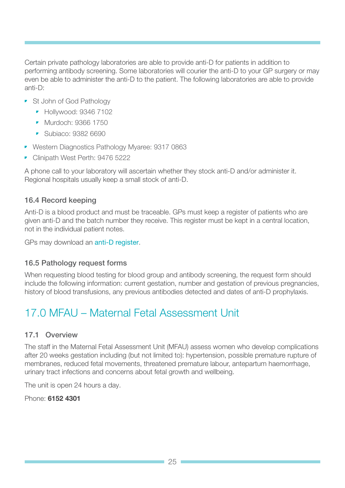Certain private pathology laboratories are able to provide anti-D for patients in addition to performing antibody screening. Some laboratories will courier the anti-D to your GP surgery or may even be able to administer the anti-D to the patient. The following laboratories are able to provide anti-D:

- St John of God Pathology
	- Hollywood: 9346 7102
	- Murdoch: 9366 1750
	- Subjaco: 9382 6690
- Western Diagnostics Pathology Myaree: 9317 0863
- Clinipath West Perth: 9476 5222

A phone call to your laboratory will ascertain whether they stock anti-D and/or administer it. Regional hospitals usually keep a small stock of anti-D.

### 16.4 Record keeping

Anti-D is a blood product and must be traceable. GPs must keep a register of patients who are given anti-D and the batch number they receive. This register must be kept in a central location, not in the individual patient notes.

GPs may download an [anti-D register](http://www.health.sa.gov.au/bloodsafe/Default.aspx?tabid=54).

#### 16.5 Pathology request forms

When requesting blood testing for blood group and antibody screening, the request form should include the following information: current gestation, number and gestation of previous pregnancies, history of blood transfusions, any previous antibodies detected and dates of anti-D prophylaxis.

# 17.0 MFAU – Maternal Fetal Assessment Unit

#### 17.1 Overview

The staff in the Maternal Fetal Assessment Unit (MFAU) assess women who develop complications after 20 weeks gestation including (but not limited to): hypertension, possible premature rupture of membranes, reduced fetal movements, threatened premature labour, antepartum haemorrhage, urinary tract infections and concerns about fetal growth and wellbeing.

The unit is open 24 hours a day.

Phone: 6152 4301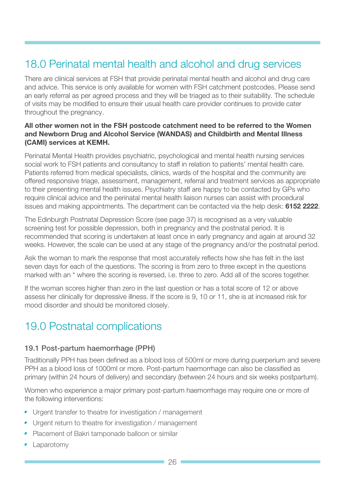# <span id="page-25-0"></span>18.0 Perinatal mental health and alcohol and drug services

There are clinical services at FSH that provide perinatal mental health and alcohol and drug care and advice. This service is only available for women with FSH catchment postcodes. Please send an early referral as per agreed process and they will be triaged as to their suitability. The schedule of visits may be modified to ensure their usual health care provider continues to provide cater throughout the pregnancy.

#### All other women not in the FSH postcode catchment need to be referred to the Women and Newborn Drug and Alcohol Service (WANDAS) and Childbirth and Mental Illness (CAMI) services at KEMH.

Perinatal Mental Health provides psychiatric, psychological and mental health nursing services social work to FSH patients and consultancy to staff in relation to patients' mental health care. Patients referred from medical specialists, clinics, wards of the hospital and the community are offered responsive triage, assessment, management, referral and treatment services as appropriate to their presenting mental health issues. Psychiatry staff are happy to be contacted by GPs who require clinical advice and the perinatal mental health liaison nurses can assist with procedural issues and making appointments. The department can be contacted via the help desk: 6152 2222.

The Edinburgh Postnatal Depression Score (see page 37) is recognised as a very valuable screening test for possible depression, both in pregnancy and the postnatal period. It is recommended that scoring is undertaken at least once in early pregnancy and again at around 32 weeks. However, the scale can be used at any stage of the pregnancy and/or the postnatal period.

Ask the woman to mark the response that most accurately reflects how she has felt in the last seven days for each of the questions. The scoring is from zero to three except in the questions marked with an \* where the scoring is reversed, i.e. three to zero. Add all of the scores together.

If the woman scores higher than zero in the last question or has a total score of 12 or above assess her clinically for depressive illness. If the score is 9, 10 or 11, she is at increased risk for mood disorder and should be monitored closely.

# 19.0 Postnatal complications

# 19.1 Post-partum haemorrhage (PPH)

Traditionally PPH has been defined as a blood loss of 500ml or more during puerperium and severe PPH as a blood loss of 1000ml or more. Post-partum haemorrhage can also be classified as primary (within 24 hours of delivery) and secondary (between 24 hours and six weeks postpartum).

Women who experience a major primary post-partum haemorrhage may require one or more of the following interventions:

- Urgent transfer to theatre for investigation / management
- Urgent return to theatre for investigation / management
- Placement of Bakri tamponade balloon or similar
- **Laparotomy**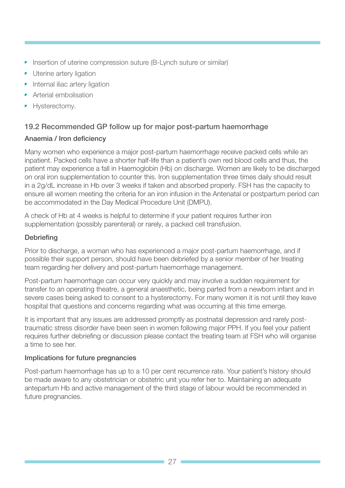- Insertion of uterine compression suture (B-Lynch suture or similar)
- **•** Uterine artery ligation
- Internal iliac artery ligation
- **•** Arterial embolisation
- **•** Hysterectomy.

# 19.2 Recommended GP follow up for major post-partum haemorrhage

#### Anaemia / Iron deficiency

Many women who experience a major post-partum haemorrhage receive packed cells while an inpatient. Packed cells have a shorter half-life than a patient's own red blood cells and thus, the patient may experience a fall in Haemoglobin (Hb) on discharge. Women are likely to be discharged on oral iron supplementation to counter this. Iron supplementation three times daily should result in a 2g/dL increase in Hb over 3 weeks if taken and absorbed properly. FSH has the capacity to ensure all women meeting the criteria for an iron infusion in the Antenatal or postpartum period can be accommodated in the Day Medical Procedure Unit (DMPU).

A check of Hb at 4 weeks is helpful to determine if your patient requires further iron supplementation (possibly parenteral) or rarely, a packed cell transfusion.

#### **Debriefing**

Prior to discharge, a woman who has experienced a major post-partum haemorrhage, and if possible their support person, should have been debriefed by a senior member of her treating team regarding her delivery and post-partum haemorrhage management.

Post-partum haemorrhage can occur very quickly and may involve a sudden requirement for transfer to an operating theatre, a general anaesthetic, being parted from a newborn infant and in severe cases being asked to consent to a hysterectomy. For many women it is not until they leave hospital that questions and concerns regarding what was occurring at this time emerge.

It is important that any issues are addressed promptly as postnatal depression and rarely posttraumatic stress disorder have been seen in women following major PPH. If you feel your patient requires further debriefing or discussion please contact the treating team at FSH who will organise a time to see her.

#### Implications for future pregnancies

Post-partum haemorrhage has up to a 10 per cent recurrence rate. Your patient's history should be made aware to any obstetrician or obstetric unit you refer her to. Maintaining an adequate antepartum Hb and active management of the third stage of labour would be recommended in future pregnancies.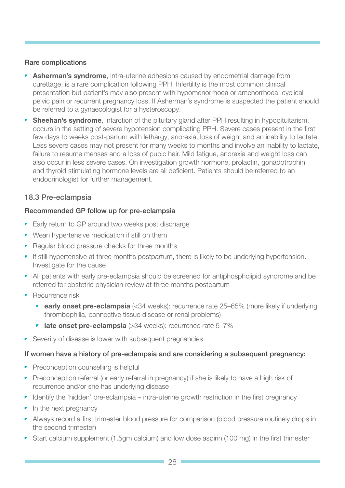#### Rare complications

- **Asherman's syndrome**, intra-uterine adhesions caused by endometrial damage from curettage, is a rare complication following PPH. Infertility is the most common clinical presentation but patient's may also present with hypomenorrhoea or amenorrhoea, cyclical pelvic pain or recurrent pregnancy loss. If Asherman's syndrome is suspected the patient should be referred to a gynaecologist for a hysteroscopy.
- Sheehan's syndrome, infarction of the pituitary gland after PPH resulting in hypopituitarism, occurs in the setting of severe hypotension complicating PPH. Severe cases present in the first few days to weeks post-partum with lethargy, anorexia, loss of weight and an inability to lactate. Less severe cases may not present for many weeks to months and involve an inability to lactate, failure to resume menses and a loss of pubic hair. Mild fatigue, anorexia and weight loss can also occur in less severe cases. On investigation growth hormone, prolactin, gonadotrophin and thyroid stimulating hormone levels are all deficient. Patients should be referred to an endocrinologist for further management.

### 18.3 Pre-eclampsia

#### Recommended GP follow up for pre-eclampsia

- Early return to GP around two weeks post discharge
- Wean hypertensive medication if still on them
- Regular blood pressure checks for three months
- If still hypertensive at three months postpartum, there is likely to be underlying hypertension. Investigate for the cause
- All patients with early pre-eclampsia should be screened for antiphospholipid syndrome and be referred for obstetric physician review at three months postpartum
- **•** Recurrence risk
	- **early onset pre-eclampsia**  $(<34$  weeks): recurrence rate  $25-65%$  (more likely if underlying thrombophilia, connective tissue disease or renal problems)
	- **late onset pre-eclampsia**  $(>34$  weeks): recurrence rate  $5-7\%$
- Severity of disease is lower with subsequent pregnancies

#### If women have a history of pre-eclampsia and are considering a subsequent pregnancy:

- Preconception counselling is helpful
- Preconception referral (or early referral in pregnancy) if she is likely to have a high risk of recurrence and/or she has underlying disease
- Identify the 'hidden' pre-eclampsia intra-uterine growth restriction in the first pregnancy
- In the next pregnancy
- Always record a first trimester blood pressure for comparison (blood pressure routinely drops in the second trimester)
- Start calcium supplement (1.5gm calcium) and low dose aspirin (100 mg) in the first trimester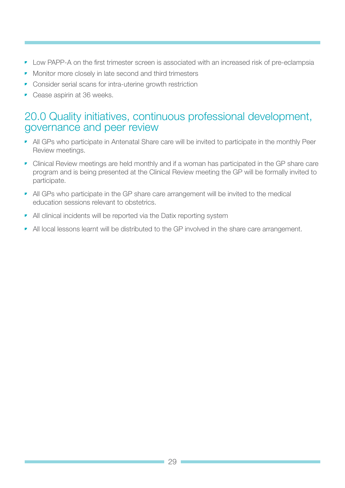- <span id="page-28-0"></span>• Low PAPP-A on the first trimester screen is associated with an increased risk of pre-eclampsia
- Monitor more closely in late second and third trimesters
- Consider serial scans for intra-uterine growth restriction
- Cease aspirin at 36 weeks.

# 20.0 Quality initiatives, continuous professional development, governance and peer review

- All GPs who participate in Antenatal Share care will be invited to participate in the monthly Peer Review meetings.
- Clinical Review meetings are held monthly and if a woman has participated in the GP share care program and is being presented at the Clinical Review meeting the GP will be formally invited to participate.
- All GPs who participate in the GP share care arrangement will be invited to the medical education sessions relevant to obstetrics.
- All clinical incidents will be reported via the Datix reporting system
- All local lessons learnt will be distributed to the GP involved in the share care arrangement.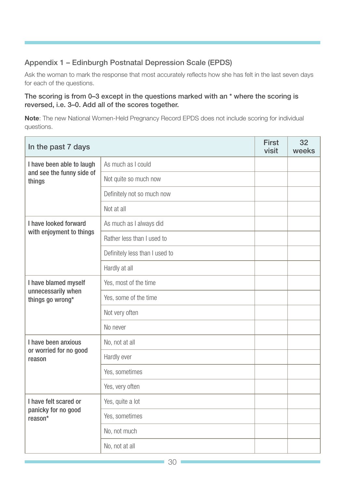# <span id="page-29-0"></span>Appendix 1 – Edinburgh Postnatal Depression Scale (EPDS)

Ask the woman to mark the response that most accurately reflects how she has felt in the last seven days for each of the questions.

#### The scoring is from 0–3 except in the questions marked with an \* where the scoring is reversed, i.e. 3–0. Add all of the scores together.

Note: The new National Women-Held Pregnancy Record EPDS does not include scoring for individual questions.

| In the past 7 days                                               |                                | <b>First</b><br>visit | 32<br>weeks |
|------------------------------------------------------------------|--------------------------------|-----------------------|-------------|
| I have been able to laugh<br>and see the funny side of<br>things | As much as I could             |                       |             |
|                                                                  | Not quite so much now          |                       |             |
|                                                                  | Definitely not so much now     |                       |             |
|                                                                  | Not at all                     |                       |             |
| I have looked forward<br>with enjoyment to things                | As much as I always did        |                       |             |
|                                                                  | Rather less than I used to     |                       |             |
|                                                                  | Definitely less than I used to |                       |             |
|                                                                  | Hardly at all                  |                       |             |
| I have blamed myself                                             | Yes, most of the time          |                       |             |
| unnecessarily when<br>things go wrong*                           | Yes, some of the time          |                       |             |
|                                                                  | Not very often                 |                       |             |
|                                                                  | No never                       |                       |             |
| I have been anxious<br>or worried for no good<br>reason          | No, not at all                 |                       |             |
|                                                                  | Hardly ever                    |                       |             |
|                                                                  | Yes, sometimes                 |                       |             |
|                                                                  | Yes, very often                |                       |             |
| I have felt scared or<br>panicky for no good<br>reason*          | Yes, quite a lot               |                       |             |
|                                                                  | Yes, sometimes                 |                       |             |
|                                                                  | No, not much                   |                       |             |
|                                                                  | No, not at all                 |                       |             |

٦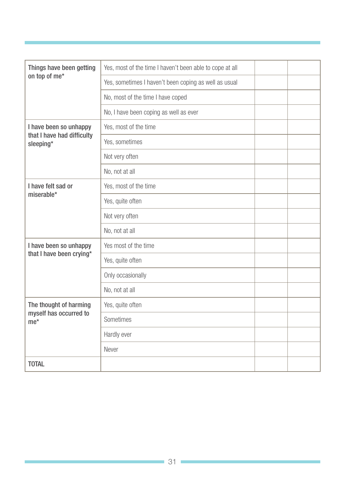| Things have been getting                                          | Yes, most of the time I haven't been able to cope at all |  |
|-------------------------------------------------------------------|----------------------------------------------------------|--|
| on top of me*                                                     | Yes, sometimes I haven't been coping as well as usual    |  |
|                                                                   | No, most of the time I have coped                        |  |
|                                                                   | No, I have been coping as well as ever                   |  |
| I have been so unhappy<br>that I have had difficulty<br>sleeping* | Yes, most of the time                                    |  |
|                                                                   | Yes, sometimes                                           |  |
|                                                                   | Not very often                                           |  |
|                                                                   | No, not at all                                           |  |
| I have felt sad or<br>miserable*                                  | Yes, most of the time                                    |  |
|                                                                   | Yes, quite often                                         |  |
|                                                                   | Not very often                                           |  |
|                                                                   | No, not at all                                           |  |
| I have been so unhappy<br>that I have been crying*                | Yes most of the time                                     |  |
|                                                                   | Yes, quite often                                         |  |
|                                                                   | Only occasionally                                        |  |
|                                                                   | No, not at all                                           |  |
| The thought of harming<br>myself has occurred to<br>$me*$         | Yes, quite often                                         |  |
|                                                                   | Sometimes                                                |  |
|                                                                   | Hardly ever                                              |  |
|                                                                   | Never                                                    |  |
| <b>TOTAL</b>                                                      |                                                          |  |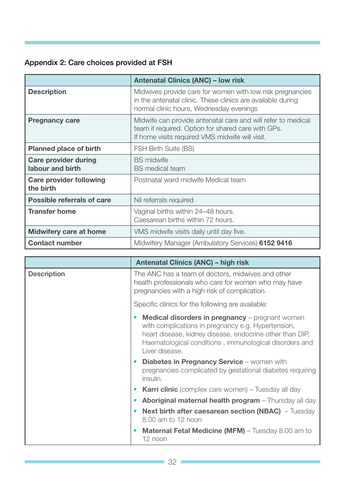# Appendix 2: Care choices provided at FSH

|                                                 | <b>Antenatal Clinics (ANC) - low risk</b>                                                                                                                             |
|-------------------------------------------------|-----------------------------------------------------------------------------------------------------------------------------------------------------------------------|
| <b>Description</b>                              | Midwives provide care for women with low risk pregnancies<br>in the antenatal clinic. These clinics are available during<br>normal clinic hours, Wednesday evenings   |
| <b>Pregnancy care</b>                           | Midwife can provide antenatal care and will refer to medical<br>team if required. Option for shared care with GPs.<br>If home visits required VMS midwife will visit. |
| <b>Planned place of birth</b>                   | FSH Birth Suite (BS)                                                                                                                                                  |
| <b>Care provider during</b><br>labour and birth | <b>BS</b> midwife<br><b>BS</b> medical team                                                                                                                           |
| <b>Care provider following</b><br>the birth     | Postnatal ward midwife Medical team                                                                                                                                   |
| <b>Possible referrals of care</b>               | Nil referrals required                                                                                                                                                |
| <b>Transfer home</b>                            | Vaginal births within 24–48 hours.<br>Caesarean births within 72 hours.                                                                                               |
| <b>Midwifery care at home</b>                   | VMS midwife visits daily until day five.                                                                                                                              |
| <b>Contact number</b>                           | Midwifery Manager (Ambulatory Services) 6152 9416                                                                                                                     |

|                    | <b>Antenatal Clinics (ANC) - high risk</b>                                                                                                                                                                                                                |  |
|--------------------|-----------------------------------------------------------------------------------------------------------------------------------------------------------------------------------------------------------------------------------------------------------|--|
| <b>Description</b> | The ANC has a team of doctors, midwives and other<br>health professionals who care for women who may have<br>pregnancies with a high risk of complication.                                                                                                |  |
|                    | Specific clinics for the following are available:                                                                                                                                                                                                         |  |
|                    | <b>Medical disorders in pregnancy</b> – pregnant women<br>,<br>with complications in pregnancy e.g. Hypertension,<br>heart disease, kidney disease, endocrine other than DIP,<br>Haematological conditions, immunological disorders and<br>Liver disease. |  |
|                    | <b>Diabetes in Pregnancy Service</b> – women with<br>$\overline{\phantom{a}}$<br>pregnancies complicated by gestational diabetes requiring<br>insulin.                                                                                                    |  |
|                    | <b>Karri clinic</b> (complex care women) – Tuesday all day                                                                                                                                                                                                |  |
|                    | Aboriginal maternal health program - Thursday all day                                                                                                                                                                                                     |  |
|                    | <b>Next birth after caesarean section (NBAC)</b> - Tuesday<br>8.00 am to 12 noon                                                                                                                                                                          |  |
|                    | <b>Maternal Fetal Medicine (MFM)</b> – Tuesday 8.00 am to<br>$\overline{\phantom{a}}$<br>12 noon                                                                                                                                                          |  |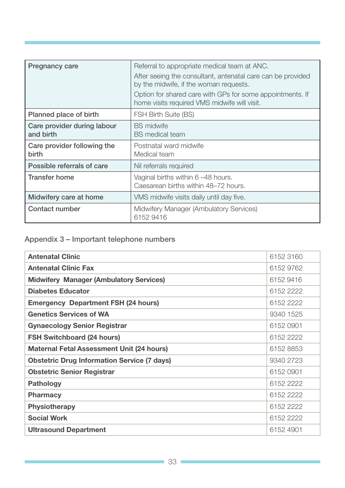<span id="page-32-0"></span>

| <b>Pregnancy care</b>                    | Referral to appropriate medical team at ANC.<br>After seeing the consultant, antenatal care can be provided<br>by the midwife, if the woman requests.<br>Option for shared care with GPs for some appointments. If<br>home visits required VMS midwife will visit. |
|------------------------------------------|--------------------------------------------------------------------------------------------------------------------------------------------------------------------------------------------------------------------------------------------------------------------|
| Planned place of birth                   | <b>FSH Birth Suite (BS)</b>                                                                                                                                                                                                                                        |
| Care provider during labour<br>and birth | <b>BS</b> midwife<br><b>BS</b> medical team                                                                                                                                                                                                                        |
| Care provider following the<br>birth     | Postnatal ward midwife<br>Medical team                                                                                                                                                                                                                             |
| Possible referrals of care               | Nil referrals required                                                                                                                                                                                                                                             |
| Transfer home                            | Vaginal births within 6 -48 hours.<br>Caesarean births within 48–72 hours.                                                                                                                                                                                         |
| Midwifery care at home                   | VMS midwife visits daily until day five.                                                                                                                                                                                                                           |
| Contact number                           | Midwifery Manager (Ambulatory Services)<br>6152 9416                                                                                                                                                                                                               |

# Appendix 3 – Important telephone numbers

| <b>Antenatal Clinic</b>                            | 6152 3160 |
|----------------------------------------------------|-----------|
| <b>Antenatal Clinic Fax</b>                        | 6152 9762 |
| <b>Midwifery Manager (Ambulatory Services)</b>     | 6152 9416 |
| <b>Diabetes Educator</b>                           | 6152 2222 |
| <b>Emergency Department FSH (24 hours)</b>         | 6152 2222 |
| <b>Genetics Services of WA</b>                     | 9340 1525 |
| <b>Gynaecology Senior Registrar</b>                | 6152 0901 |
| <b>FSH Switchboard (24 hours)</b>                  | 6152 2222 |
| <b>Maternal Fetal Assessment Unit (24 hours)</b>   | 6152 8853 |
| <b>Obstetric Drug Information Service (7 days)</b> | 9340 2723 |
| <b>Obstetric Senior Registrar</b>                  | 6152 0901 |
| <b>Pathology</b>                                   | 6152 2222 |
| <b>Pharmacy</b>                                    | 6152 2222 |
| <b>Physiotherapy</b>                               | 6152 2222 |
| <b>Social Work</b>                                 | 6152 2222 |
| <b>Ultrasound Department</b>                       | 6152 4901 |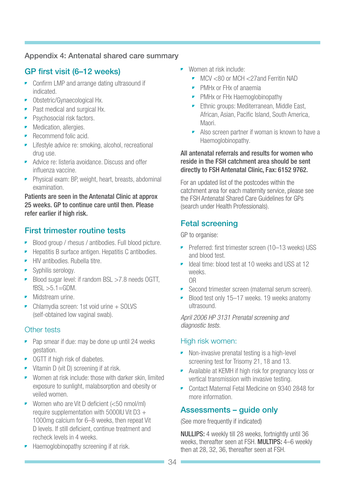### <span id="page-33-0"></span>Appendix 4: Antenatal shared care summary

# GP first visit (6–12 weeks)

- Confirm LMP and arrange dating ultrasound if indicated.
- Obstetric/Gynaecological Hx.
- Past medical and surgical Hx.
- Psychosocial risk factors.
- Medication, allergies.
- Recommend folic acid.
- Lifestyle advice re: smoking, alcohol, recreational drug use.
- Advice re: listeria avoidance. Discuss and offer influenza vaccine.
- Physical exam: BP, weight, heart, breasts, abdominal examination.

Patients are seen in the Antenatal Clinic at approx 25 weeks. GP to continue care until then. Please refer earlier if high risk.

# First trimester routine tests

- Blood group / rhesus / antibodies. Full blood picture.
- Hepatitis B surface antigen. Hepatitis C antibodies.
- HIV antibodies. Rubella titre.
- Syphilis serology.
- Blood sugar level: if random BSL >7.8 needs OGTT,  $fBSL > 5.1 = GDM$ .
- Midstream urine.
- Chlamydia screen: 1st void urine + SOLVS (self-obtained low vaginal swab).

### Other tests

- Pap smear if due: may be done up until 24 weeks gestation.
- OGTT if high risk of diabetes.
- Vitamin D (vit D) screening if at risk.
- Women at risk include: those with darker skin, limited exposure to sunlight, malabsorption and obesity or veiled women.
- Women who are Vit D deficient (<50 nmol/ml) require supplementation with 5000IU Vit D3 + 1000mg calcium for 6–8 weeks, then repeat Vit D levels. If still deficient, continue treatment and recheck levels in 4 weeks.
- Haemoglobinopathy screening if at risk.
- Women at risk include:
	- MCV <80 or MCH <27and Ferritin NAD
	- PMHx or FHx of anaemia
	- PMHx or FHx Haemoglobinopathy
	- **•** Ethnic groups: Mediterranean, Middle East, African, Asian, Pacific Island, South America, Maori.
	- Also screen partner if woman is known to have a Haemoglobinopathy.

#### All antenatal referrals and results for women who reside in the FSH catchment area should be sent directly to FSH Antenatal Clinic, Fax: 6152 9762.

For an updated list of the postcodes within the catchment area for each maternity service, please see the FSH Antenatal Shared Care Guidelines for GPs (search under Health Professionals).

# Fetal screening

GP to organise:

- Preferred: first trimester screen (10–13 weeks) USS and blood test.
- Ideal time: blood test at 10 weeks and USS at 12 weeks.

OR

- Second trimester screen (maternal serum screen).
- Blood test only 15–17 weeks. 19 weeks anatomy ultrasound.

*April 2006 HP 3131 Prenatal screening and diagnostic tests.*

# High risk women:

- Non-invasive prenatal testing is a high-level screening test for Trisomy 21, 18 and 13.
- Available at KEMH if high risk for pregnancy loss or vertical transmission with invasive testing.
- Contact Maternal Fetal Medicine on 9340 2848 for more information.

# Assessments – guide only

(See more frequently if indicated)

NULLIPS: 4 weekly till 28 weeks, fortnightly until 36 weeks, thereafter seen at FSH. MULTIPS: 4–6 weekly then at 28, 32, 36, thereafter seen at FSH.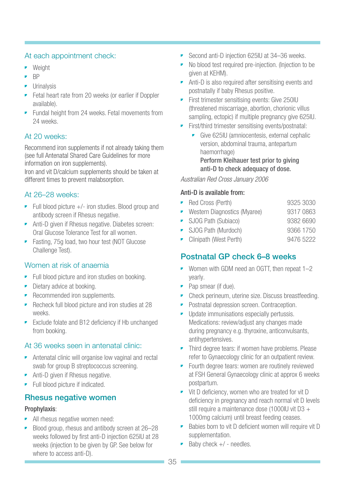### At each appointment check:

- Weight
- BP
- **•** Urinalysis
- Fetal heart rate from 20 weeks (or earlier if Doppler available).
- **•** Fundal height from 24 weeks. Fetal movements from 24 weeks.

### At 20 weeks:

Recommend iron supplements if not already taking them (see full Antenatal Shared Care Guidelines for more information on iron supplements).

Iron and vit D/calcium supplements should be taken at different times to prevent malabsorption.

### At 26–28 weeks:

- Full blood picture  $+/-$  iron studies. Blood group and antibody screen if Rhesus negative.
- Anti-D given if Rhesus negative. Diabetes screen: Oral Glucose Tolerance Test for all women.
- Fasting, 75g load, two hour test (NOT Glucose Challenge Test).

# Women at risk of anaemia

- Full blood picture and iron studies on booking.
- Dietary advice at booking.
- Recommended iron supplements.
- Recheck full blood picture and iron studies at 28 weeks.
- Exclude folate and B12 deficiency if Hb unchanged from booking.

# At 36 weeks seen in antenatal clinic:

- Antenatal clinic will organise low vaginal and rectal swab for group B streptococcus screening.
- Anti-D given if Rhesus negative.
- Full blood picture if indicated.

# Rhesus negative women

### Prophylaxis:

- All rhesus negative women need:
- Blood group, rhesus and antibody screen at 26–28 weeks followed by first anti-D injection 625IU at 28 weeks (injection to be given by GP. See below for where to access anti-D).
- Second anti-D injection 625IU at 34–36 weeks.
- No blood test required pre-injection. (Injection to be given at KEHM).
- Anti-D is also required after sensitising events and postnatally if baby Rhesus positive.
- First trimester sensitising events: Give 250IU (threatened miscarriage, abortion, chorionic villus sampling, ectopic) if multiple pregnancy give 625IU.
- First/third trimester sensitising events/postnatal:
	- Give 625IU (amniocentesis, external cephalic version, abdominal trauma, antepartum haemorrhage) Perform Kleihauer test prior to giving anti-D to check adequacy of dose.

#### *Australian Red Cross January 2006*

#### Anti-D is available from:

- Red Cross (Perth) 9325 3030
- Western Diagnostics (Myaree) 9317 0863
- SJOG Path (Subiaco) 9382 6690 • SJOG Path (Murdoch) 9366 1750
- Clinipath (West Perth) 9476 5222

# Postnatal GP check 6–8 weeks

- Women with GDM need an OGTT, then repeat 1–2 yearly.
- Pap smear (if due).
- Check perineum, uterine size. Discuss breastfeeding.
- Postnatal depression screen. Contraception.
- Update immunisations especially pertussis. Medications: review/adjust any changes made during pregnancy e.g. thyroxine, anticonvulsants, antihypertensives.
- Third degree tears: if women have problems. Please refer to Gynaecology clinic for an outpatient review.
- Fourth degree tears: women are routinely reviewed at FSH General Gynaecology clinic at approx 6 weeks postpartum.
- Vit D deficiency, women who are treated for vit D deficiency in pregnancy and reach normal vit D levels still require a maintenance dose (1000IU vit D3 + 1000mg calcium) until breast feeding ceases.
- Babies born to vit D deficient women will require vit D supplementation.
- $\blacktriangleright$  Baby check  $+/-$  needles.